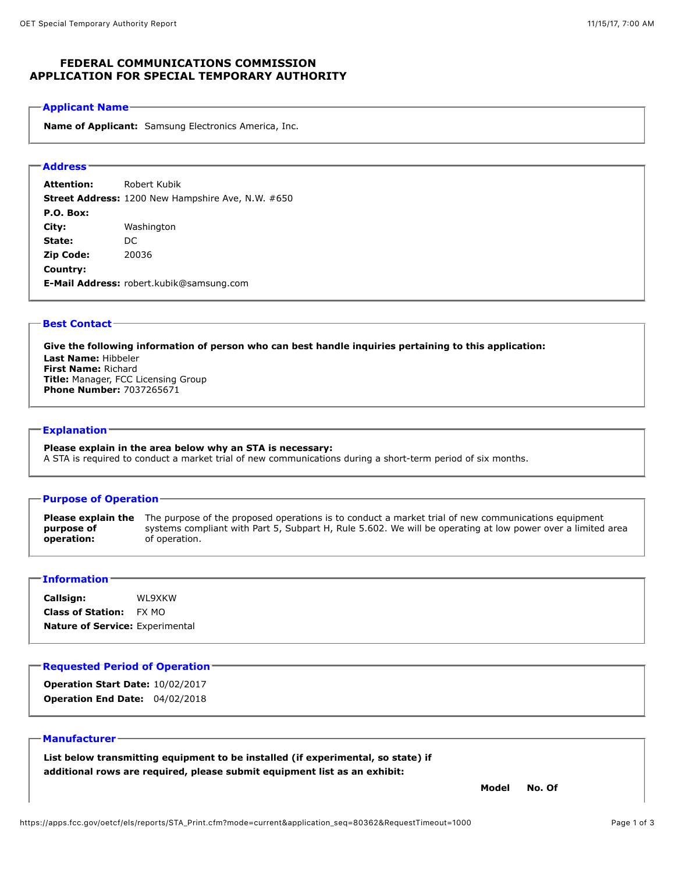# **FEDERAL COMMUNICATIONS COMMISSION APPLICATION FOR SPECIAL TEMPORARY AUTHORITY**

#### **Applicant Name**

**Name of Applicant:** Samsung Electronics America, Inc.

## **Address**

**Attention:** Robert Kubik **Street Address:** 1200 New Hampshire Ave, N.W. #650 **P.O. Box: City:** Washington **State:** DC **Zip Code:** 20036 **Country: E-Mail Address:** robert.kubik@samsung.com

#### **Best Contact**

**Give the following information of person who can best handle inquiries pertaining to this application: Last Name:** Hibbeler **First Name:** Richard **Title:** Manager, FCC Licensing Group **Phone Number:** 7037265671

### **Explanation**

**Please explain in the area below why an STA is necessary:**  A STA is required to conduct a market trial of new communications during a short-term period of six months.

#### **Purpose of Operation**

**Please explain the** The purpose of the proposed operations is to conduct a market trial of new communications equipment **purpose of operation:**  systems compliant with Part 5, Subpart H, Rule 5.602. We will be operating at low power over a limited area of operation.

### **Information**

**Callsign:** WL9XKW **Class of Station:** FX MO **Nature of Service:** Experimental

### **Requested Period of Operation**

**Operation Start Date:** 10/02/2017 **Operation End Date:** 04/02/2018

### **Manufacturer**

**List below transmitting equipment to be installed (if experimental, so state) if additional rows are required, please submit equipment list as an exhibit:** 

**Model No. Of**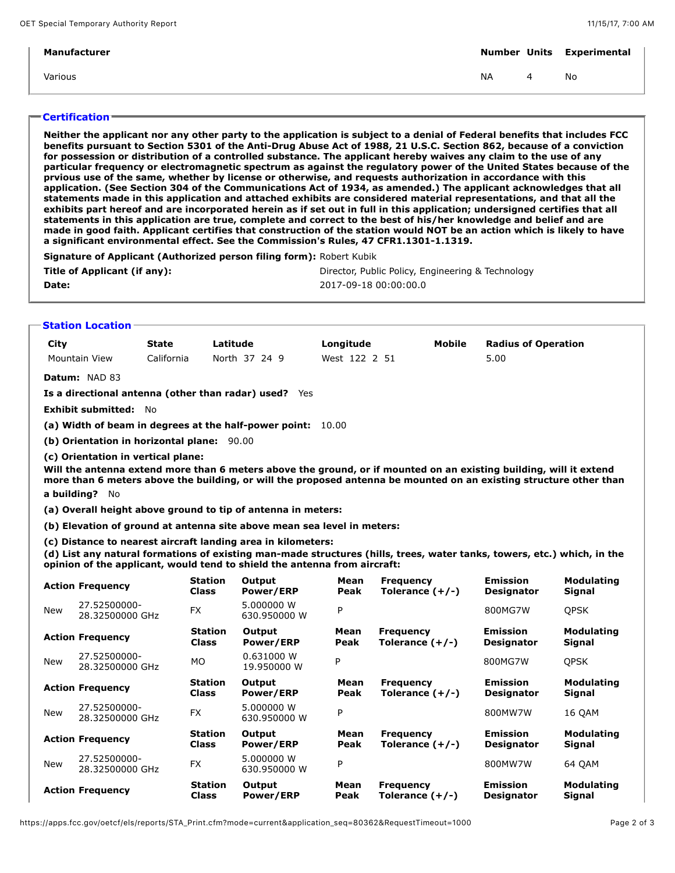| Manufacturer |           |   | <b>Number Units Experimental</b> |
|--------------|-----------|---|----------------------------------|
| Various      | <b>NA</b> | 4 | No                               |
|              |           |   |                                  |

# **Certification**

**Neither the applicant nor any other party to the application is subject to a denial of Federal benefits that includes FCC benefits pursuant to Section 5301 of the Anti-Drug Abuse Act of 1988, 21 U.S.C. Section 862, because of a conviction for possession or distribution of a controlled substance. The applicant hereby waives any claim to the use of any particular frequency or electromagnetic spectrum as against the regulatory power of the United States because of the prvious use of the same, whether by license or otherwise, and requests authorization in accordance with this application. (See Section 304 of the Communications Act of 1934, as amended.) The applicant acknowledges that all statements made in this application and attached exhibits are considered material representations, and that all the exhibits part hereof and are incorporated herein as if set out in full in this application; undersigned certifies that all statements in this application are true, complete and correct to the best of his/her knowledge and belief and are made in good faith. Applicant certifies that construction of the station would NOT be an action which is likely to have a significant environmental effect. See the Commission's Rules, 47 CFR1.1301-1.1319.**

**Signature of Applicant (Authorized person filing form):** Robert Kubik

| Title of Applicant (if any): | Director, Public Policy, Engineering & Technology |
|------------------------------|---------------------------------------------------|
| Date:                        | 2017-09-18 00:00:00.0                             |

### **Station Location**

| City                                                                                                                                                                                                                                                                                             |                                 | <b>State</b> | Latitude                       |                                                                         | Longitude     | <b>Mobile</b>                         | <b>Radius of Operation</b>           |                                    |  |  |
|--------------------------------------------------------------------------------------------------------------------------------------------------------------------------------------------------------------------------------------------------------------------------------------------------|---------------------------------|--------------|--------------------------------|-------------------------------------------------------------------------|---------------|---------------------------------------|--------------------------------------|------------------------------------|--|--|
|                                                                                                                                                                                                                                                                                                  | <b>Mountain View</b>            | California   |                                | North 37 24 9                                                           | West 122 2 51 |                                       | 5.00                                 |                                    |  |  |
| Datum: NAD 83                                                                                                                                                                                                                                                                                    |                                 |              |                                |                                                                         |               |                                       |                                      |                                    |  |  |
| Is a directional antenna (other than radar) used? Yes                                                                                                                                                                                                                                            |                                 |              |                                |                                                                         |               |                                       |                                      |                                    |  |  |
|                                                                                                                                                                                                                                                                                                  | Exhibit submitted: No           |              |                                |                                                                         |               |                                       |                                      |                                    |  |  |
| (a) Width of beam in degrees at the half-power point: 10.00                                                                                                                                                                                                                                      |                                 |              |                                |                                                                         |               |                                       |                                      |                                    |  |  |
| (b) Orientation in horizontal plane: 90.00                                                                                                                                                                                                                                                       |                                 |              |                                |                                                                         |               |                                       |                                      |                                    |  |  |
| (c) Orientation in vertical plane:<br>Will the antenna extend more than 6 meters above the ground, or if mounted on an existing building, will it extend<br>more than 6 meters above the building, or will the proposed antenna be mounted on an existing structure other than<br>a building? No |                                 |              |                                |                                                                         |               |                                       |                                      |                                    |  |  |
| (a) Overall height above ground to tip of antenna in meters:                                                                                                                                                                                                                                     |                                 |              |                                |                                                                         |               |                                       |                                      |                                    |  |  |
|                                                                                                                                                                                                                                                                                                  |                                 |              |                                | (b) Elevation of ground at antenna site above mean sea level in meters: |               |                                       |                                      |                                    |  |  |
| (c) Distance to nearest aircraft landing area in kilometers:<br>(d) List any natural formations of existing man-made structures (hills, trees, water tanks, towers, etc.) which, in the<br>opinion of the applicant, would tend to shield the antenna from aircraft:                             |                                 |              |                                |                                                                         |               |                                       |                                      |                                    |  |  |
|                                                                                                                                                                                                                                                                                                  | <b>Action Frequency</b>         |              | <b>Station</b><br><b>Class</b> | Output<br><b>Power/ERP</b>                                              | Mean<br>Peak  | <b>Frequency</b><br>Tolerance $(+/-)$ | <b>Emission</b><br><b>Designator</b> | <b>Modulating</b><br><b>Signal</b> |  |  |
| <b>New</b>                                                                                                                                                                                                                                                                                       | 27.52500000-<br>28.32500000 GHz |              | <b>FX</b>                      | 5.000000 W<br>630.950000 W                                              | P             |                                       | 800MG7W                              | <b>OPSK</b>                        |  |  |
|                                                                                                                                                                                                                                                                                                  | <b>Action Frequency</b>         |              | <b>Station</b><br><b>Class</b> | Output<br>Power/ERP                                                     | Mean<br>Peak  | <b>Frequency</b><br>Tolerance $(+/-)$ | <b>Emission</b><br><b>Designator</b> | <b>Modulating</b><br><b>Signal</b> |  |  |
| <b>New</b>                                                                                                                                                                                                                                                                                       | 27.52500000-<br>28.32500000 GHz |              | <b>MO</b>                      | 0.631000 W<br>19.950000 W                                               | P             |                                       | 800MG7W                              | <b>OPSK</b>                        |  |  |
|                                                                                                                                                                                                                                                                                                  | <b>Action Frequency</b>         |              | Station<br>Class               | Output<br>Power/ERP                                                     | Mean<br>Peak  | <b>Frequency</b><br>Tolerance $(+/-)$ | <b>Emission</b><br><b>Designator</b> | <b>Modulating</b><br><b>Signal</b> |  |  |
| New                                                                                                                                                                                                                                                                                              | 27.52500000-<br>28.32500000 GHz |              | FX                             | 5.000000 W<br>630.950000 W                                              | P             |                                       | 800MW7W                              | 16 QAM                             |  |  |
|                                                                                                                                                                                                                                                                                                  | <b>Action Frequency</b>         |              | <b>Station</b><br><b>Class</b> | Output<br>Power/ERP                                                     | Mean<br>Peak  | <b>Frequency</b><br>Tolerance $(+/-)$ | <b>Emission</b><br><b>Designator</b> | <b>Modulating</b><br><b>Signal</b> |  |  |
| New                                                                                                                                                                                                                                                                                              | 27.52500000-<br>28.32500000 GHz |              | FX                             | 5.000000 W<br>630.950000 W                                              | P             |                                       | 800MW7W                              | 64 QAM                             |  |  |
|                                                                                                                                                                                                                                                                                                  | <b>Action Frequency</b>         |              | <b>Station</b><br><b>Class</b> | Output<br><b>Power/ERP</b>                                              | Mean<br>Peak  | <b>Frequency</b><br>Tolerance $(+/-)$ | <b>Emission</b><br><b>Designator</b> | <b>Modulating</b><br><b>Signal</b> |  |  |

https://apps.fcc.gov/oetcf/els/reports/STA\_Print.cfm?mode=current&application\_seq=80362&RequestTimeout=1000 Page 2 of 3